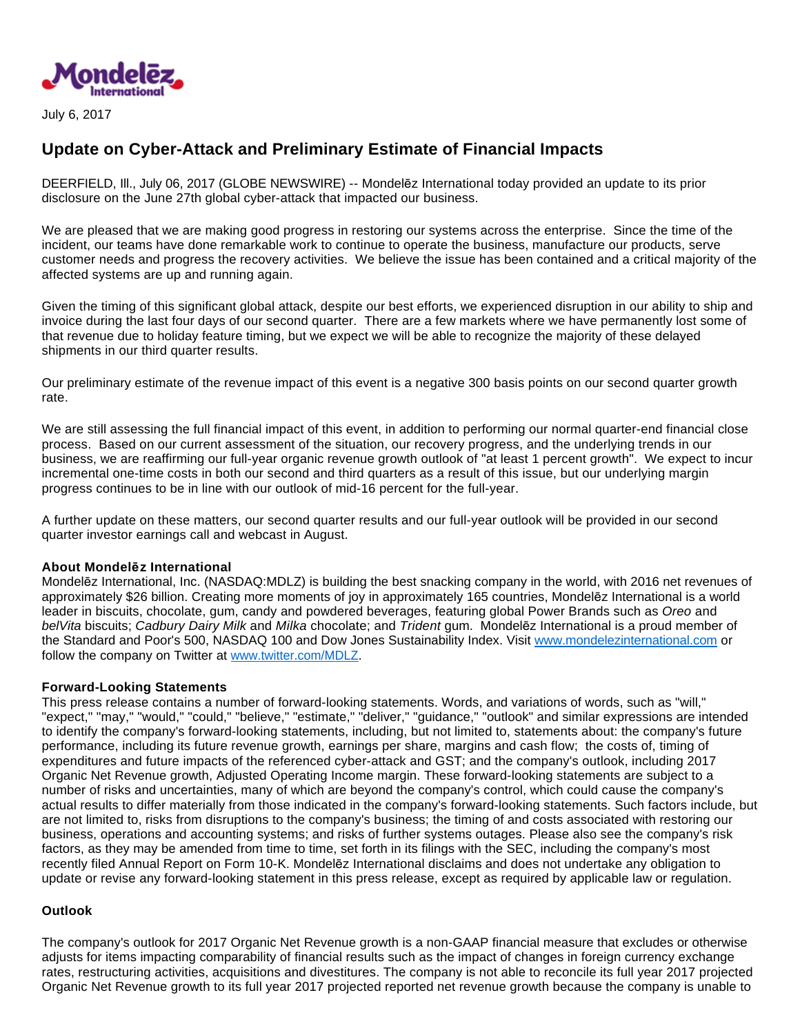

July 6, 2017

## **Update on Cyber-Attack and Preliminary Estimate of Financial Impacts**

DEERFIELD, Ill., July 06, 2017 (GLOBE NEWSWIRE) -- Mondelēz International today provided an update to its prior disclosure on the June 27th global cyber-attack that impacted our business.

We are pleased that we are making good progress in restoring our systems across the enterprise. Since the time of the incident, our teams have done remarkable work to continue to operate the business, manufacture our products, serve customer needs and progress the recovery activities. We believe the issue has been contained and a critical majority of the affected systems are up and running again.

Given the timing of this significant global attack, despite our best efforts, we experienced disruption in our ability to ship and invoice during the last four days of our second quarter. There are a few markets where we have permanently lost some of that revenue due to holiday feature timing, but we expect we will be able to recognize the majority of these delayed shipments in our third quarter results.

Our preliminary estimate of the revenue impact of this event is a negative 300 basis points on our second quarter growth rate.

We are still assessing the full financial impact of this event, in addition to performing our normal quarter-end financial close process. Based on our current assessment of the situation, our recovery progress, and the underlying trends in our business, we are reaffirming our full-year organic revenue growth outlook of "at least 1 percent growth". We expect to incur incremental one-time costs in both our second and third quarters as a result of this issue, but our underlying margin progress continues to be in line with our outlook of mid-16 percent for the full-year.

A further update on these matters, our second quarter results and our full-year outlook will be provided in our second quarter investor earnings call and webcast in August.

## **About Mondelēz International**

Mondelēz International, Inc. (NASDAQ:MDLZ) is building the best snacking company in the world, with 2016 net revenues of approximately \$26 billion. Creating more moments of joy in approximately 165 countries, Mondelēz International is a world leader in biscuits, chocolate, gum, candy and powdered beverages, featuring global Power Brands such as Oreo and belVita biscuits; Cadbury Dairy Milk and Milka chocolate; and Trident gum. Mondelēz International is a proud member of the Standard and Poor's 500, NASDAQ 100 and Dow Jones Sustainability Index. Visit [www.mondelezinternational.com](https://www.globenewswire.com/Tracker?data=xUb_0oFoytoGhIi75i11v_fi4W1Z0nzIKrshMMkWs4jJcw6BFbFfpBXL3-5BrgzIJcG1Y6MsVkPioYpo6WJOUWHvvJnF9X0z7em3qdGeHqI5qSDKbTt1s9eO6MmyTMDw) or follow the company on Twitter at [www.twitter.com/MDLZ](https://www.globenewswire.com/Tracker?data=FROd8M2oOYPfLjQpDlCiIS6bbgVTz_VKQ_5FzgNDKgRnQma9Td8bGBgJBIte3rNwOyfyWecxG2mQixoZkW02KmT4cWUsKNOU83FqYMDffzQ=).

## **Forward-Looking Statements**

This press release contains a number of forward-looking statements. Words, and variations of words, such as "will," "expect," "may," "would," "could," "believe," "estimate," "deliver," "guidance," "outlook" and similar expressions are intended to identify the company's forward-looking statements, including, but not limited to, statements about: the company's future performance, including its future revenue growth, earnings per share, margins and cash flow; the costs of, timing of expenditures and future impacts of the referenced cyber-attack and GST; and the company's outlook, including 2017 Organic Net Revenue growth, Adjusted Operating Income margin. These forward-looking statements are subject to a number of risks and uncertainties, many of which are beyond the company's control, which could cause the company's actual results to differ materially from those indicated in the company's forward-looking statements. Such factors include, but are not limited to, risks from disruptions to the company's business; the timing of and costs associated with restoring our business, operations and accounting systems; and risks of further systems outages. Please also see the company's risk factors, as they may be amended from time to time, set forth in its filings with the SEC, including the company's most recently filed Annual Report on Form 10-K. Mondelēz International disclaims and does not undertake any obligation to update or revise any forward-looking statement in this press release, except as required by applicable law or regulation.

## **Outlook**

The company's outlook for 2017 Organic Net Revenue growth is a non-GAAP financial measure that excludes or otherwise adjusts for items impacting comparability of financial results such as the impact of changes in foreign currency exchange rates, restructuring activities, acquisitions and divestitures. The company is not able to reconcile its full year 2017 projected Organic Net Revenue growth to its full year 2017 projected reported net revenue growth because the company is unable to